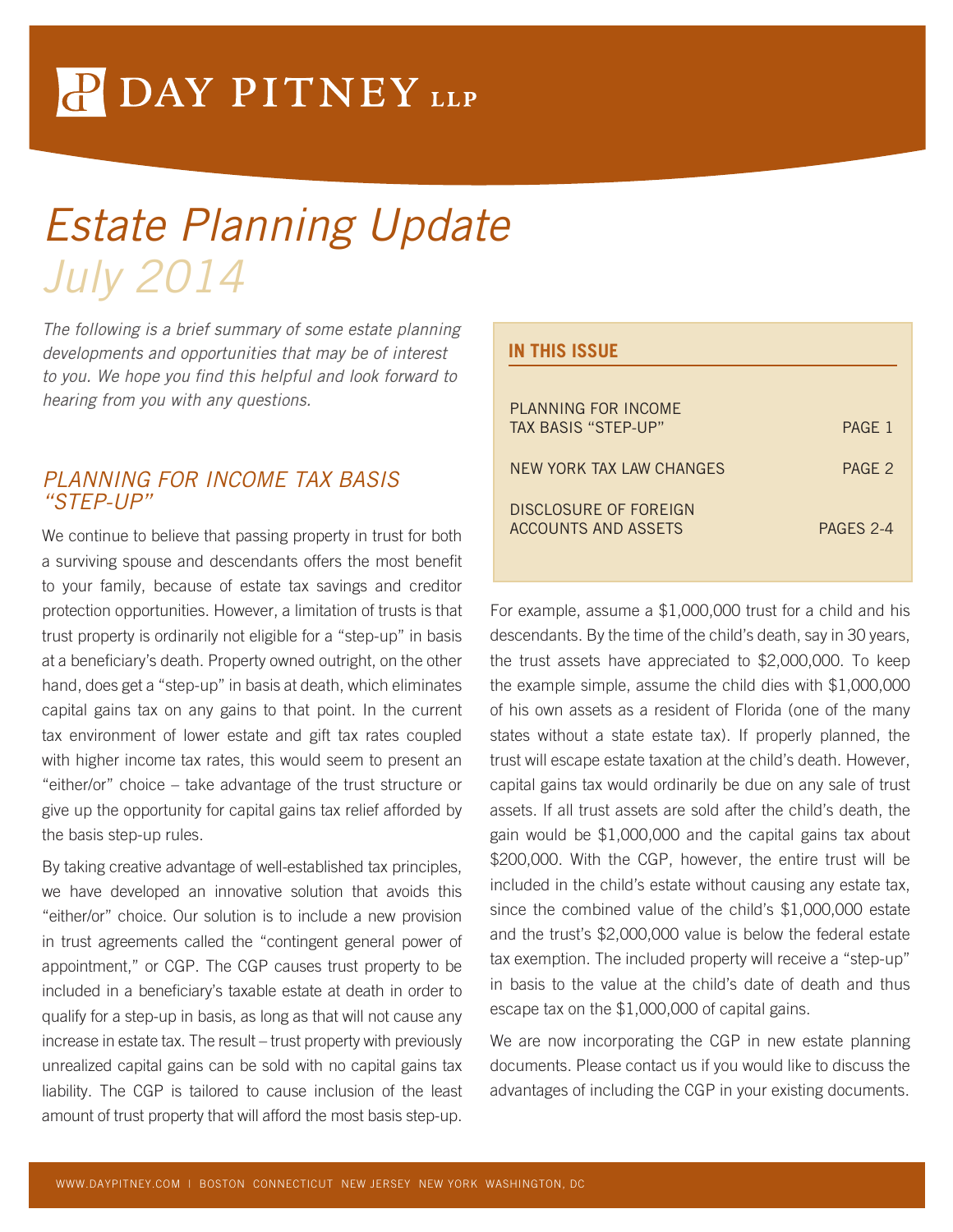# P DAY PITNEY LLP

## *Estate Planning Update July 2014*

*The following is a brief summary of some estate planning developments and opportunities that may be of interest*  to you. We hope you find this helpful and look forward to *hearing from you with any questions.* 

#### *PLANNING FOR INCOME TAX BASIS "STEP-UP"*

We continue to believe that passing property in trust for both a surviving spouse and descendants offers the most benefit to your family, because of estate tax savings and creditor protection opportunities. However, a limitation of trusts is that trust property is ordinarily not eligible for a "step-up" in basis at a beneficiary's death. Property owned outright, on the other hand, does get a "step-up" in basis at death, which eliminates capital gains tax on any gains to that point. In the current tax environment of lower estate and gift tax rates coupled with higher income tax rates, this would seem to present an "either/or" choice – take advantage of the trust structure or give up the opportunity for capital gains tax relief afforded by the basis step-up rules.

By taking creative advantage of well-established tax principles, we have developed an innovative solution that avoids this "either/or" choice. Our solution is to include a new provision in trust agreements called the "contingent general power of appointment," or CGP. The CGP causes trust property to be included in a beneficiary's taxable estate at death in order to qualify for a step-up in basis, as long as that will not cause any increase in estate tax. The result – trust property with previously unrealized capital gains can be sold with no capital gains tax liability. The CGP is tailored to cause inclusion of the least amount of trust property that will afford the most basis step-up.

## **IN THIS ISSUE** PLANNING FOR INCOME TAX BASIS "STEP-UP" PAGE 1 NEW YORK TAX LAW CHANGES PAGE 2 DISCLOSURE OF FORFIGN ACCOUNTS AND ASSETS PAGES 2-4

For example, assume a \$1,000,000 trust for a child and his descendants. By the time of the child's death, say in 30 years, the trust assets have appreciated to \$2,000,000. To keep the example simple, assume the child dies with \$1,000,000 of his own assets as a resident of Florida (one of the many states without a state estate tax). If properly planned, the trust will escape estate taxation at the child's death. However, capital gains tax would ordinarily be due on any sale of trust assets. If all trust assets are sold after the child's death, the gain would be \$1,000,000 and the capital gains tax about \$200,000. With the CGP, however, the entire trust will be included in the child's estate without causing any estate tax, since the combined value of the child's \$1,000,000 estate and the trust's \$2,000,000 value is below the federal estate tax exemption. The included property will receive a "step-up" in basis to the value at the child's date of death and thus escape tax on the \$1,000,000 of capital gains.

We are now incorporating the CGP in new estate planning documents. Please contact us if you would like to discuss the advantages of including the CGP in your existing documents.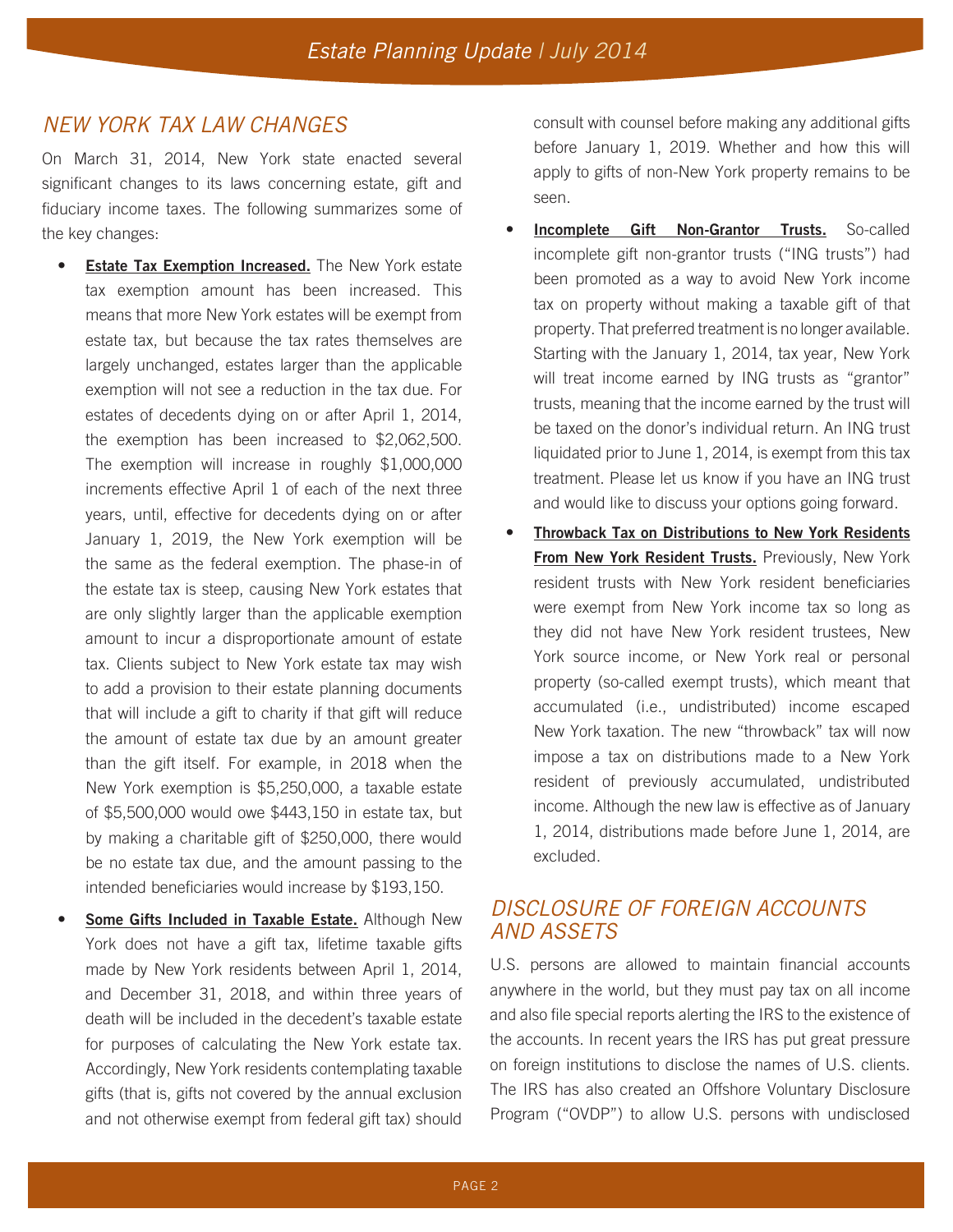## *NEW YORK TAX LAW CHANGES*

On March 31, 2014, New York state enacted several significant changes to its laws concerning estate, gift and fiduciary income taxes. The following summarizes some of the key changes:

- **Estate Tax Exemption Increased.** The New York estate tax exemption amount has been increased. This means that more New York estates will be exempt from estate tax, but because the tax rates themselves are largely unchanged, estates larger than the applicable exemption will not see a reduction in the tax due. For estates of decedents dying on or after April 1, 2014, the exemption has been increased to \$2,062,500. The exemption will increase in roughly \$1,000,000 increments effective April 1 of each of the next three years, until, effective for decedents dying on or after January 1, 2019, the New York exemption will be the same as the federal exemption. The phase-in of the estate tax is steep, causing New York estates that are only slightly larger than the applicable exemption amount to incur a disproportionate amount of estate tax. Clients subject to New York estate tax may wish to add a provision to their estate planning documents that will include a gift to charity if that gift will reduce the amount of estate tax due by an amount greater than the gift itself. For example, in 2018 when the New York exemption is \$5,250,000, a taxable estate of \$5,500,000 would owe \$443,150 in estate tax, but by making a charitable gift of \$250,000, there would be no estate tax due, and the amount passing to the intended beneficiaries would increase by \$193,150.
- **Some Gifts Included in Taxable Estate.** Although New York does not have a gift tax, lifetime taxable gifts made by New York residents between April 1, 2014, and December 31, 2018, and within three years of death will be included in the decedent's taxable estate for purposes of calculating the New York estate tax. Accordingly, New York residents contemplating taxable gifts (that is, gifts not covered by the annual exclusion and not otherwise exempt from federal gift tax) should

consult with counsel before making any additional gifts before January 1, 2019. Whether and how this will apply to gifts of non-New York property remains to be seen.

- **Incomplete Gift Non-Grantor Trusts.** So-called incomplete gift non-grantor trusts ("ING trusts") had been promoted as a way to avoid New York income tax on property without making a taxable gift of that property. That preferred treatment is no longer available. Starting with the January 1, 2014, tax year, New York will treat income earned by ING trusts as "grantor" trusts, meaning that the income earned by the trust will be taxed on the donor's individual return. An ING trust liquidated prior to June 1, 2014, is exempt from this tax treatment. Please let us know if you have an ING trust and would like to discuss your options going forward.
- **Throwback Tax on Distributions to New York Residents From New York Resident Trusts.** Previously, New York resident trusts with New York resident beneficiaries were exempt from New York income tax so long as they did not have New York resident trustees, New York source income, or New York real or personal property (so-called exempt trusts), which meant that accumulated (i.e., undistributed) income escaped New York taxation. The new "throwback" tax will now impose a tax on distributions made to a New York resident of previously accumulated, undistributed income. Although the new law is effective as of January 1, 2014, distributions made before June 1, 2014, are excluded.

## *DISCLOSURE OF FOREIGN ACCOUNTS AND ASSETS*

U.S. persons are allowed to maintain financial accounts anywhere in the world, but they must pay tax on all income and also file special reports alerting the IRS to the existence of the accounts. In recent years the IRS has put great pressure on foreign institutions to disclose the names of U.S. clients. The IRS has also created an Offshore Voluntary Disclosure Program ("OVDP") to allow U.S. persons with undisclosed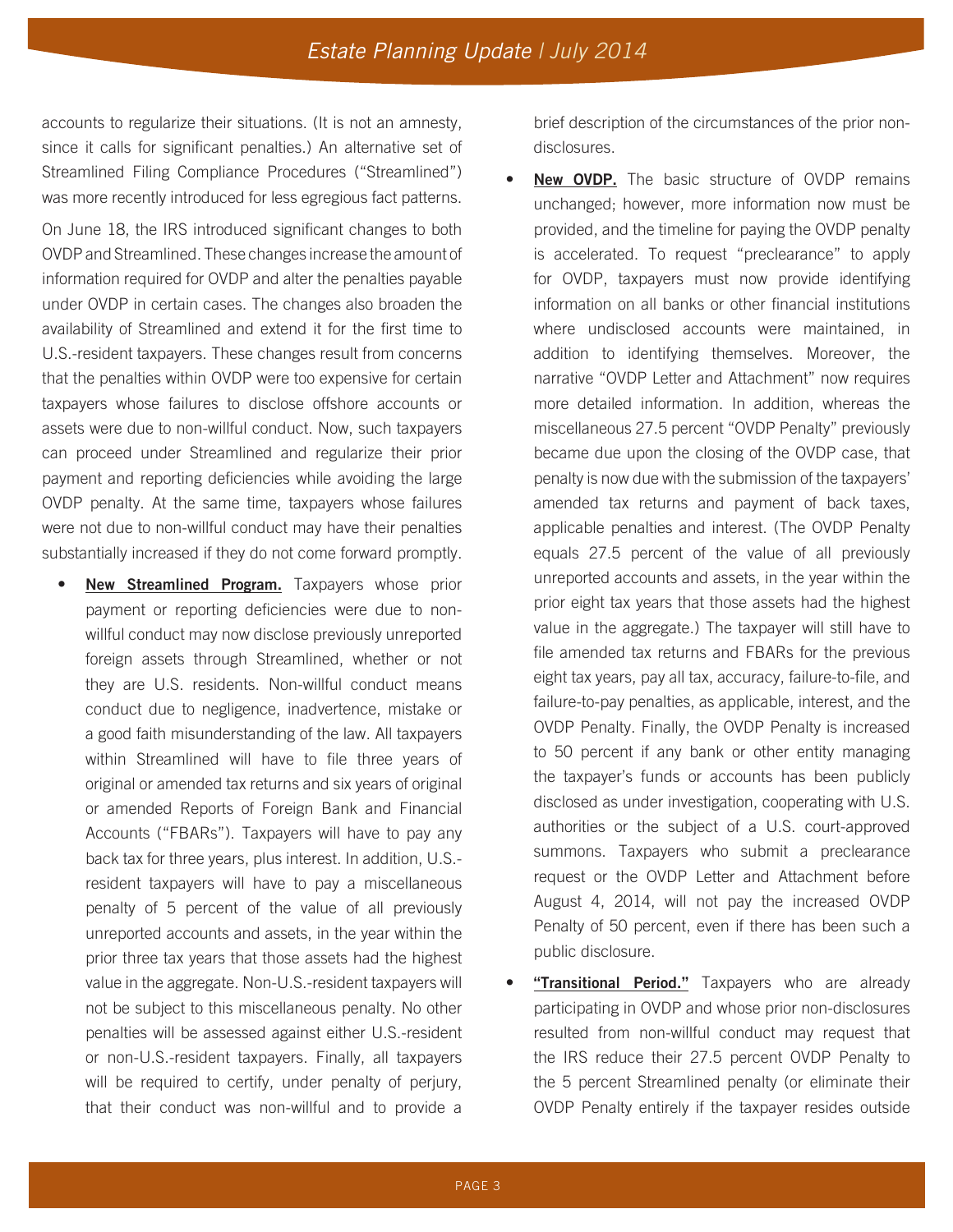accounts to regularize their situations. (It is not an amnesty, since it calls for significant penalties.) An alternative set of Streamlined Filing Compliance Procedures ("Streamlined") was more recently introduced for less egregious fact patterns.

On June 18, the IRS introduced significant changes to both OVDP and Streamlined. These changes increase the amount of information required for OVDP and alter the penalties payable under OVDP in certain cases. The changes also broaden the availability of Streamlined and extend it for the first time to U.S.-resident taxpayers. These changes result from concerns that the penalties within OVDP were too expensive for certain taxpayers whose failures to disclose offshore accounts or assets were due to non-willful conduct. Now, such taxpayers can proceed under Streamlined and regularize their prior payment and reporting deficiencies while avoiding the large OVDP penalty. At the same time, taxpayers whose failures were not due to non-willful conduct may have their penalties substantially increased if they do not come forward promptly.

• **New Streamlined Program.** Taxpayers whose prior payment or reporting deficiencies were due to nonwillful conduct may now disclose previously unreported foreign assets through Streamlined, whether or not they are U.S. residents. Non-willful conduct means conduct due to negligence, inadvertence, mistake or a good faith misunderstanding of the law. All taxpayers within Streamlined will have to file three years of original or amended tax returns and six years of original or amended Reports of Foreign Bank and Financial Accounts ("FBARs"). Taxpayers will have to pay any back tax for three years, plus interest. In addition, U.S. resident taxpayers will have to pay a miscellaneous penalty of 5 percent of the value of all previously unreported accounts and assets, in the year within the prior three tax years that those assets had the highest value in the aggregate. Non-U.S.-resident taxpayers will not be subject to this miscellaneous penalty. No other penalties will be assessed against either U.S.-resident or non-U.S.-resident taxpayers. Finally, all taxpayers will be required to certify, under penalty of perjury, that their conduct was non-willful and to provide a brief description of the circumstances of the prior nondisclosures.

- **New OVDP.** The basic structure of OVDP remains unchanged; however, more information now must be provided, and the timeline for paying the OVDP penalty is accelerated. To request "preclearance" to apply for OVDP, taxpayers must now provide identifying information on all banks or other financial institutions where undisclosed accounts were maintained, in addition to identifying themselves. Moreover, the narrative "OVDP Letter and Attachment" now requires more detailed information. In addition, whereas the miscellaneous 27.5 percent "OVDP Penalty" previously became due upon the closing of the OVDP case, that penalty is now due with the submission of the taxpayers' amended tax returns and payment of back taxes, applicable penalties and interest. (The OVDP Penalty equals 27.5 percent of the value of all previously unreported accounts and assets, in the year within the prior eight tax years that those assets had the highest value in the aggregate.) The taxpayer will still have to file amended tax returns and FBARs for the previous eight tax years, pay all tax, accuracy, failure-to-file, and failure-to-pay penalties, as applicable, interest, and the OVDP Penalty. Finally, the OVDP Penalty is increased to 50 percent if any bank or other entity managing the taxpayer's funds or accounts has been publicly disclosed as under investigation, cooperating with U.S. authorities or the subject of a U.S. court-approved summons. Taxpayers who submit a preclearance request or the OVDP Letter and Attachment before August 4, 2014, will not pay the increased OVDP Penalty of 50 percent, even if there has been such a public disclosure.
- "Transitional Period." Taxpayers who are already participating in OVDP and whose prior non-disclosures resulted from non-willful conduct may request that the IRS reduce their 27.5 percent OVDP Penalty to the 5 percent Streamlined penalty (or eliminate their OVDP Penalty entirely if the taxpayer resides outside